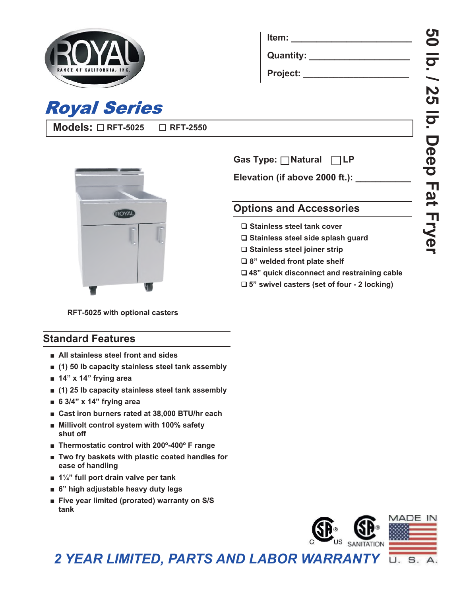

**Models: RFT-5025**

**Royal Series** 

| ltem:       |  |  |
|-------------|--|--|
| Quantity: _ |  |  |
| Project:    |  |  |



**RFT-2550**

 **Gas Type: Natural LP**

Elevation (if above 2000 ft.):

# **Options and Accessories**

- 
- **Stainless steel side splash guard**
- **Stainless steel joiner strip**
- **8" welded front plate shelf**
- **48" quick disconnect and restraining cable**
- **5" swivel casters (set of four 2 locking)**

**RFT-5025 with optional casters**

## **Standard Features**

- **■ All stainless steel front and sides**
- **■ (1) 50 lb capacity stainless steel tank assembly**
- **■ 14" x 14" frying area**
- **■ (1) 25 lb capacity stainless steel tank assembly**
- **■ 6 3/4" x 14" frying area**
- **■ Cast iron burners rated at 38,000 BTU/hr each**
- **■ Millivolt control system with 100% safety shut off**
- **Thermostatic control with 200°-400° F range**
- **■ Two fry baskets with plastic coated handles for ease of handling**
- **■ 1¼" full port drain valve per tank**
- **■ 6" high adjustable heavy duty legs**
- **Five year limited (prorated) warranty on S/S tank**



*2 YEAR LIMITED, PARTS AND LABOR WARRANTY*S. U.

- **Stainless steel tank cover**
- 
- 
- 
- 
-